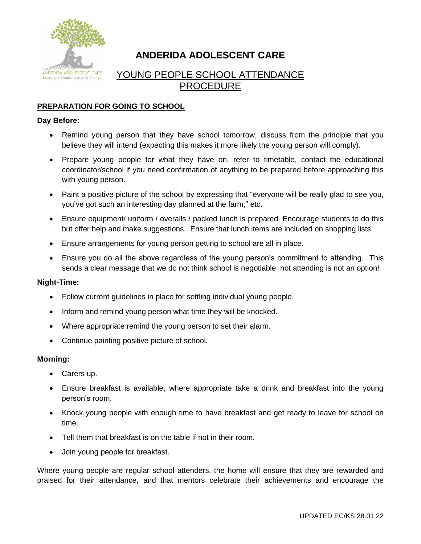

# **ANDERIDA ADOLESCENT CARE**

## YOUNG PEOPLE SCHOOL ATTENDANCE PROCEDURE

## **PREPARATION FOR GOING TO SCHOOL**

#### **Day Before:**

- Remind young person that they have school tomorrow, discuss from the principle that you believe they will intend (expecting this makes it more likely the young person will comply).
- Prepare young people for what they have on, refer to timetable, contact the educational coordinator/school if you need confirmation of anything to be prepared before approaching this with young person.
- Paint a positive picture of the school by expressing that "everyone will be really glad to see you, you've got such an interesting day planned at the farm," etc.
- Ensure equipment/ uniform / overalls / packed lunch is prepared. Encourage students to do this but offer help and make suggestions. Ensure that lunch items are included on shopping lists.
- Ensure arrangements for young person getting to school are all in place.
- Ensure you do all the above regardless of the young person's commitment to attending. This sends a clear message that we do not think school is negotiable; not attending is not an option!

#### **Night-Time:**

- Follow current guidelines in place for settling individual young people.
- Inform and remind young person what time they will be knocked.
- Where appropriate remind the young person to set their alarm.
- Continue painting positive picture of school.

#### **Morning:**

- Carers up.
- Ensure breakfast is available, where appropriate take a drink and breakfast into the young person's room.
- Knock young people with enough time to have breakfast and get ready to leave for school on time.
- Tell them that breakfast is on the table if not in their room.
- Join young people for breakfast.

Where young people are regular school attenders, the home will ensure that they are rewarded and praised for their attendance, and that mentors celebrate their achievements and encourage the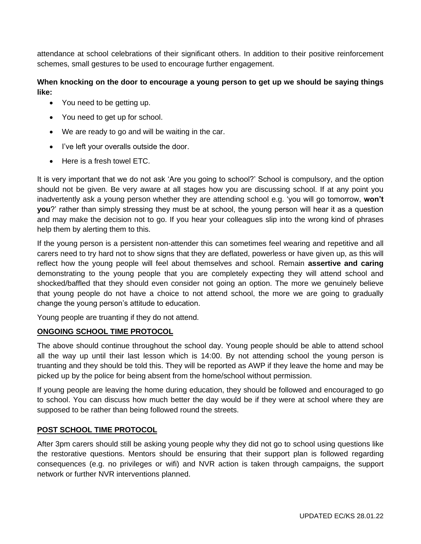attendance at school celebrations of their significant others. In addition to their positive reinforcement schemes, small gestures to be used to encourage further engagement.

## **When knocking on the door to encourage a young person to get up we should be saying things like:**

- You need to be getting up.
- You need to get up for school.
- We are ready to go and will be waiting in the car.
- I've left your overalls outside the door.
- Here is a fresh towel ETC.

It is very important that we do not ask 'Are you going to school?' School is compulsory, and the option should not be given. Be very aware at all stages how you are discussing school. If at any point you inadvertently ask a young person whether they are attending school e.g. 'you will go tomorrow, **won't you**?' rather than simply stressing they must be at school, the young person will hear it as a question and may make the decision not to go. If you hear your colleagues slip into the wrong kind of phrases help them by alerting them to this.

If the young person is a persistent non-attender this can sometimes feel wearing and repetitive and all carers need to try hard not to show signs that they are deflated, powerless or have given up, as this will reflect how the young people will feel about themselves and school. Remain **assertive and caring** demonstrating to the young people that you are completely expecting they will attend school and shocked/baffled that they should even consider not going an option. The more we genuinely believe that young people do not have a choice to not attend school, the more we are going to gradually change the young person's attitude to education.

Young people are truanting if they do not attend.

## **ONGOING SCHOOL TIME PROTOCOL**

The above should continue throughout the school day. Young people should be able to attend school all the way up until their last lesson which is 14:00. By not attending school the young person is truanting and they should be told this. They will be reported as AWP if they leave the home and may be picked up by the police for being absent from the home/school without permission.

If young people are leaving the home during education, they should be followed and encouraged to go to school. You can discuss how much better the day would be if they were at school where they are supposed to be rather than being followed round the streets.

## **POST SCHOOL TIME PROTOCOL**

After 3pm carers should still be asking young people why they did not go to school using questions like the restorative questions. Mentors should be ensuring that their support plan is followed regarding consequences (e.g. no privileges or wifi) and NVR action is taken through campaigns, the support network or further NVR interventions planned.